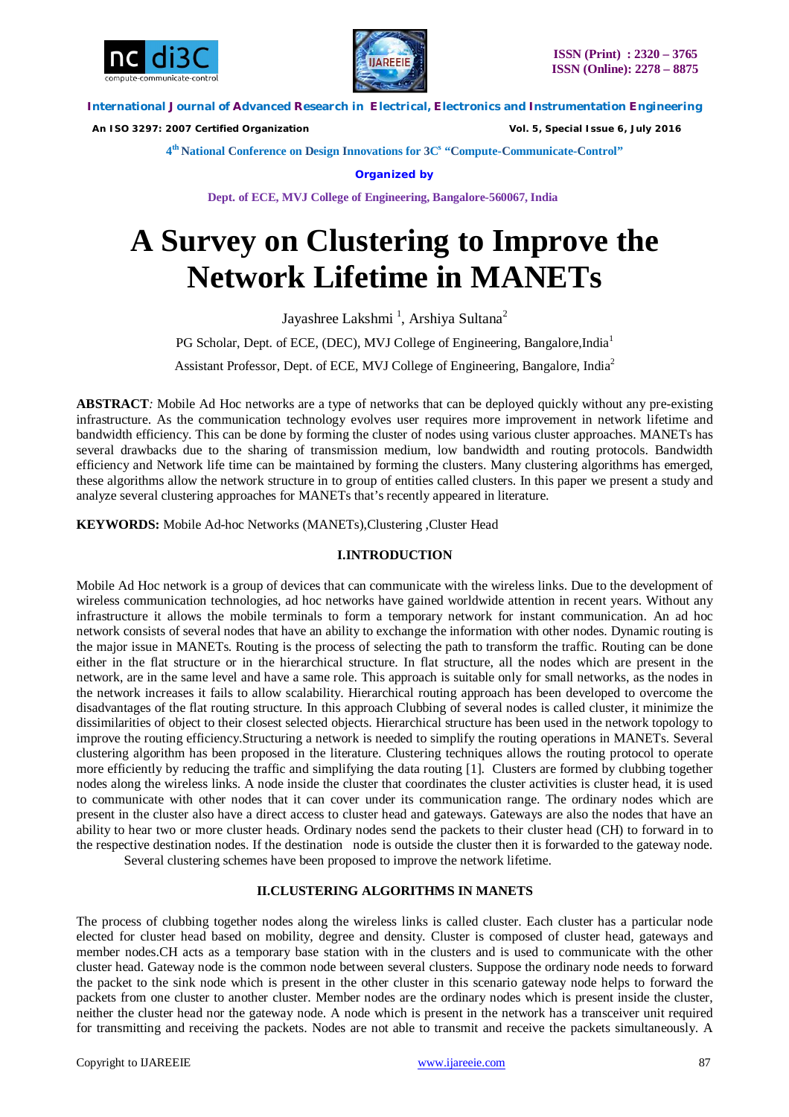



 *An ISO 3297: 2007 Certified Organization Vol. 5, Special Issue 6, July 2016*

**4 th National Conference on Design Innovations for 3C s "Compute-Communicate-Control"** 

**Organized by**

**Dept. of ECE, MVJ College of Engineering, Bangalore-560067, India**

# **A Survey on Clustering to Improve the Network Lifetime in MANETs**

Jayashree Lakshmi <sup>1</sup>, Arshiya Sultana<sup>2</sup>

PG Scholar, Dept. of ECE, (DEC), MVJ College of Engineering, Bangalore, India<sup>1</sup>

Assistant Professor, Dept. of ECE, MVJ College of Engineering, Bangalore, India<sup>2</sup>

**ABSTRACT***:* Mobile Ad Hoc networks are a type of networks that can be deployed quickly without any pre-existing infrastructure. As the communication technology evolves user requires more improvement in network lifetime and bandwidth efficiency. This can be done by forming the cluster of nodes using various cluster approaches. MANETs has several drawbacks due to the sharing of transmission medium, low bandwidth and routing protocols. Bandwidth efficiency and Network life time can be maintained by forming the clusters. Many clustering algorithms has emerged, these algorithms allow the network structure in to group of entities called clusters. In this paper we present a study and analyze several clustering approaches for MANETs that's recently appeared in literature.

**KEYWORDS:** Mobile Ad-hoc Networks (MANETs),Clustering ,Cluster Head

## **I.INTRODUCTION**

Mobile Ad Hoc network is a group of devices that can communicate with the wireless links. Due to the development of wireless communication technologies, ad hoc networks have gained worldwide attention in recent years. Without any infrastructure it allows the mobile terminals to form a temporary network for instant communication. An ad hoc network consists of several nodes that have an ability to exchange the information with other nodes. Dynamic routing is the major issue in MANETs. Routing is the process of selecting the path to transform the traffic. Routing can be done either in the flat structure or in the hierarchical structure. In flat structure, all the nodes which are present in the network, are in the same level and have a same role. This approach is suitable only for small networks, as the nodes in the network increases it fails to allow scalability. Hierarchical routing approach has been developed to overcome the disadvantages of the flat routing structure. In this approach Clubbing of several nodes is called cluster, it minimize the dissimilarities of object to their closest selected objects. Hierarchical structure has been used in the network topology to improve the routing efficiency.Structuring a network is needed to simplify the routing operations in MANETs. Several clustering algorithm has been proposed in the literature. Clustering techniques allows the routing protocol to operate more efficiently by reducing the traffic and simplifying the data routing [1]. Clusters are formed by clubbing together nodes along the wireless links. A node inside the cluster that coordinates the cluster activities is cluster head, it is used to communicate with other nodes that it can cover under its communication range. The ordinary nodes which are present in the cluster also have a direct access to cluster head and gateways. Gateways are also the nodes that have an ability to hear two or more cluster heads. Ordinary nodes send the packets to their cluster head (CH) to forward in to the respective destination nodes. If the destination node is outside the cluster then it is forwarded to the gateway node. Several clustering schemes have been proposed to improve the network lifetime.

**II.CLUSTERING ALGORITHMS IN MANETS**

The process of clubbing together nodes along the wireless links is called cluster. Each cluster has a particular node elected for cluster head based on mobility, degree and density. Cluster is composed of cluster head, gateways and member nodes.CH acts as a temporary base station with in the clusters and is used to communicate with the other cluster head. Gateway node is the common node between several clusters. Suppose the ordinary node needs to forward the packet to the sink node which is present in the other cluster in this scenario gateway node helps to forward the packets from one cluster to another cluster. Member nodes are the ordinary nodes which is present inside the cluster, neither the cluster head nor the gateway node. A node which is present in the network has a transceiver unit required for transmitting and receiving the packets. Nodes are not able to transmit and receive the packets simultaneously. A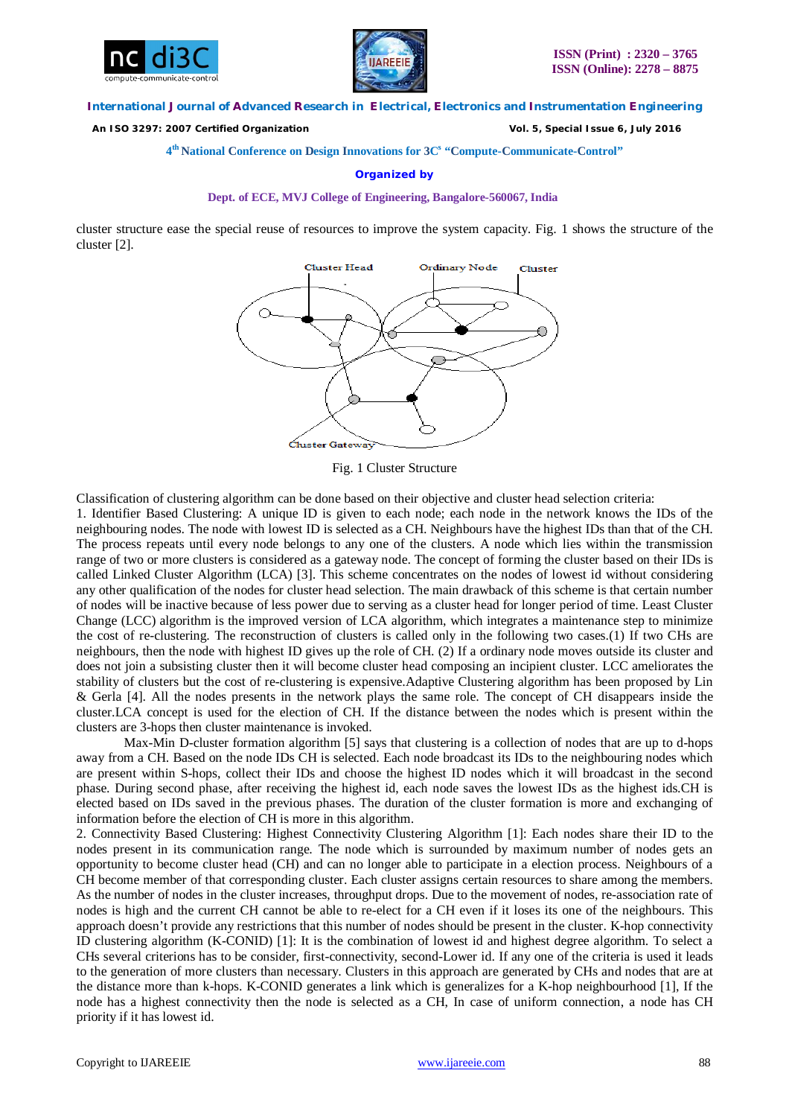



 *An ISO 3297: 2007 Certified Organization Vol. 5, Special Issue 6, July 2016*

**4 th National Conference on Design Innovations for 3C s "Compute-Communicate-Control"** 

### **Organized by**

#### **Dept. of ECE, MVJ College of Engineering, Bangalore-560067, India**

cluster structure ease the special reuse of resources to improve the system capacity. Fig. 1 shows the structure of the cluster [2].



Fig. 1 Cluster Structure

Classification of clustering algorithm can be done based on their objective and cluster head selection criteria:

1. Identifier Based Clustering: A unique ID is given to each node; each node in the network knows the IDs of the neighbouring nodes. The node with lowest ID is selected as a CH. Neighbours have the highest IDs than that of the CH. The process repeats until every node belongs to any one of the clusters. A node which lies within the transmission range of two or more clusters is considered as a gateway node. The concept of forming the cluster based on their IDs is called Linked Cluster Algorithm (LCA) [3]. This scheme concentrates on the nodes of lowest id without considering any other qualification of the nodes for cluster head selection. The main drawback of this scheme is that certain number of nodes will be inactive because of less power due to serving as a cluster head for longer period of time. Least Cluster Change (LCC) algorithm is the improved version of LCA algorithm, which integrates a maintenance step to minimize the cost of re-clustering. The reconstruction of clusters is called only in the following two cases.(1) If two CHs are neighbours, then the node with highest ID gives up the role of CH. (2) If a ordinary node moves outside its cluster and does not join a subsisting cluster then it will become cluster head composing an incipient cluster. LCC ameliorates the stability of clusters but the cost of re-clustering is expensive.Adaptive Clustering algorithm has been proposed by Lin & Gerla [4]. All the nodes presents in the network plays the same role. The concept of CH disappears inside the cluster.LCA concept is used for the election of CH. If the distance between the nodes which is present within the clusters are 3-hops then cluster maintenance is invoked.

Max-Min D-cluster formation algorithm [5] says that clustering is a collection of nodes that are up to d-hops away from a CH. Based on the node IDs CH is selected. Each node broadcast its IDs to the neighbouring nodes which are present within S-hops, collect their IDs and choose the highest ID nodes which it will broadcast in the second phase. During second phase, after receiving the highest id, each node saves the lowest IDs as the highest ids.CH is elected based on IDs saved in the previous phases. The duration of the cluster formation is more and exchanging of information before the election of CH is more in this algorithm.

2. Connectivity Based Clustering: Highest Connectivity Clustering Algorithm [1]: Each nodes share their ID to the nodes present in its communication range. The node which is surrounded by maximum number of nodes gets an opportunity to become cluster head (CH) and can no longer able to participate in a election process. Neighbours of a CH become member of that corresponding cluster. Each cluster assigns certain resources to share among the members. As the number of nodes in the cluster increases, throughput drops. Due to the movement of nodes, re-association rate of nodes is high and the current CH cannot be able to re-elect for a CH even if it loses its one of the neighbours. This approach doesn't provide any restrictions that this number of nodes should be present in the cluster. K-hop connectivity ID clustering algorithm (K-CONID) [1]: It is the combination of lowest id and highest degree algorithm. To select a CHs several criterions has to be consider, first-connectivity, second-Lower id. If any one of the criteria is used it leads to the generation of more clusters than necessary. Clusters in this approach are generated by CHs and nodes that are at the distance more than k-hops. K-CONID generates a link which is generalizes for a K-hop neighbourhood [1], If the node has a highest connectivity then the node is selected as a CH, In case of uniform connection, a node has CH priority if it has lowest id.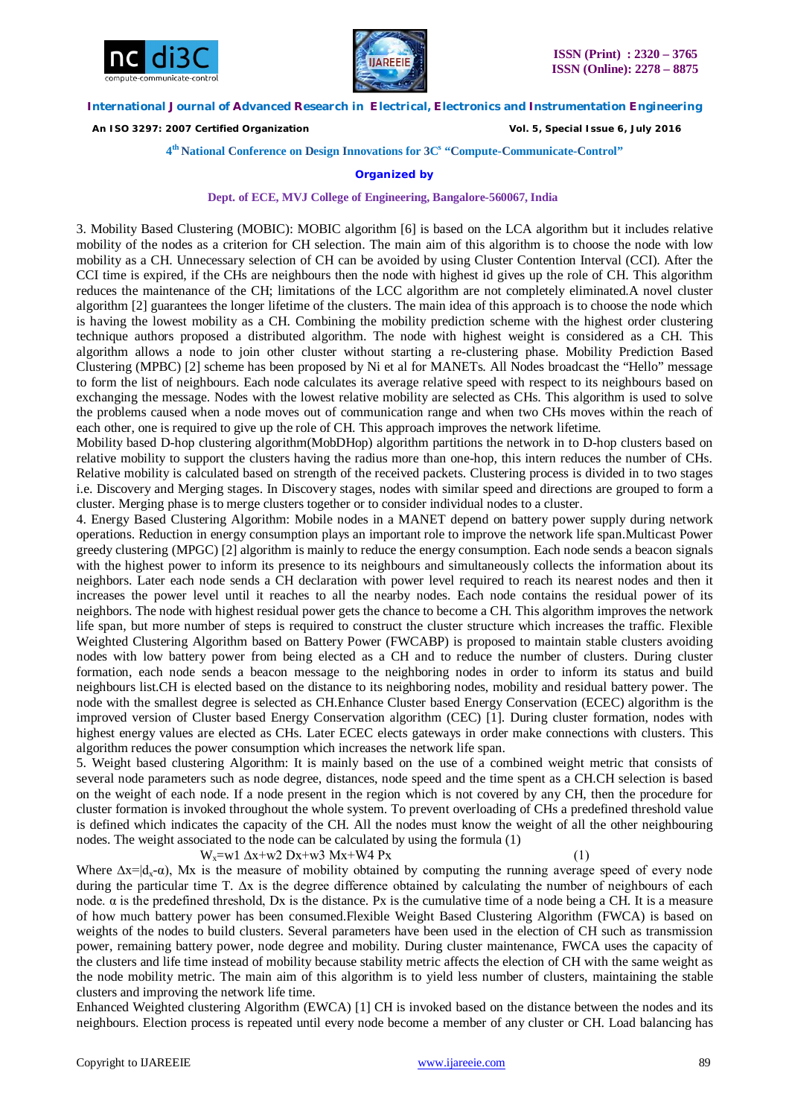



 *An ISO 3297: 2007 Certified Organization Vol. 5, Special Issue 6, July 2016*

**4 th National Conference on Design Innovations for 3C s "Compute-Communicate-Control"** 

## **Organized by**

**Dept. of ECE, MVJ College of Engineering, Bangalore-560067, India**

3. Mobility Based Clustering (MOBIC): MOBIC algorithm [6] is based on the LCA algorithm but it includes relative mobility of the nodes as a criterion for CH selection. The main aim of this algorithm is to choose the node with low mobility as a CH. Unnecessary selection of CH can be avoided by using Cluster Contention Interval (CCI). After the CCI time is expired, if the CHs are neighbours then the node with highest id gives up the role of CH. This algorithm reduces the maintenance of the CH; limitations of the LCC algorithm are not completely eliminated.A novel cluster algorithm [2] guarantees the longer lifetime of the clusters. The main idea of this approach is to choose the node which is having the lowest mobility as a CH. Combining the mobility prediction scheme with the highest order clustering technique authors proposed a distributed algorithm. The node with highest weight is considered as a CH. This algorithm allows a node to join other cluster without starting a re-clustering phase. Mobility Prediction Based Clustering (MPBC) [2] scheme has been proposed by Ni et al for MANETs. All Nodes broadcast the "Hello" message to form the list of neighbours. Each node calculates its average relative speed with respect to its neighbours based on exchanging the message. Nodes with the lowest relative mobility are selected as CHs. This algorithm is used to solve the problems caused when a node moves out of communication range and when two CHs moves within the reach of each other, one is required to give up the role of CH. This approach improves the network lifetime.

Mobility based D-hop clustering algorithm(MobDHop) algorithm partitions the network in to D-hop clusters based on relative mobility to support the clusters having the radius more than one-hop, this intern reduces the number of CHs. Relative mobility is calculated based on strength of the received packets. Clustering process is divided in to two stages i.e. Discovery and Merging stages. In Discovery stages, nodes with similar speed and directions are grouped to form a cluster. Merging phase is to merge clusters together or to consider individual nodes to a cluster.

4. Energy Based Clustering Algorithm: Mobile nodes in a MANET depend on battery power supply during network operations. Reduction in energy consumption plays an important role to improve the network life span.Multicast Power greedy clustering (MPGC) [2] algorithm is mainly to reduce the energy consumption. Each node sends a beacon signals with the highest power to inform its presence to its neighbours and simultaneously collects the information about its neighbors. Later each node sends a CH declaration with power level required to reach its nearest nodes and then it increases the power level until it reaches to all the nearby nodes. Each node contains the residual power of its neighbors. The node with highest residual power gets the chance to become a CH. This algorithm improves the network life span, but more number of steps is required to construct the cluster structure which increases the traffic. Flexible Weighted Clustering Algorithm based on Battery Power (FWCABP) is proposed to maintain stable clusters avoiding nodes with low battery power from being elected as a CH and to reduce the number of clusters. During cluster formation, each node sends a beacon message to the neighboring nodes in order to inform its status and build neighbours list.CH is elected based on the distance to its neighboring nodes, mobility and residual battery power. The node with the smallest degree is selected as CH.Enhance Cluster based Energy Conservation (ECEC) algorithm is the improved version of Cluster based Energy Conservation algorithm (CEC) [1]. During cluster formation, nodes with highest energy values are elected as CHs. Later ECEC elects gateways in order make connections with clusters. This algorithm reduces the power consumption which increases the network life span.

5. Weight based clustering Algorithm: It is mainly based on the use of a combined weight metric that consists of several node parameters such as node degree, distances, node speed and the time spent as a CH.CH selection is based on the weight of each node. If a node present in the region which is not covered by any CH, then the procedure for cluster formation is invoked throughout the whole system. To prevent overloading of CHs a predefined threshold value is defined which indicates the capacity of the CH. All the nodes must know the weight of all the other neighbouring nodes. The weight associated to the node can be calculated by using the formula (1)

W<sub>x</sub>=w1  $\Delta$ x+w2 Dx+w3 Mx+W4 Px

Where  $\Delta x = |d_x - \alpha|$ , Mx is the measure of mobility obtained by computing the running average speed of every node during the particular time T. ∆x is the degree difference obtained by calculating the number of neighbours of each node. α is the predefined threshold, Dx is the distance. Px is the cumulative time of a node being a CH. It is a measure of how much battery power has been consumed.Flexible Weight Based Clustering Algorithm (FWCA) is based on weights of the nodes to build clusters. Several parameters have been used in the election of CH such as transmission power, remaining battery power, node degree and mobility. During cluster maintenance, FWCA uses the capacity of the clusters and life time instead of mobility because stability metric affects the election of CH with the same weight as the node mobility metric. The main aim of this algorithm is to yield less number of clusters, maintaining the stable clusters and improving the network life time.

Enhanced Weighted clustering Algorithm (EWCA) [1] CH is invoked based on the distance between the nodes and its neighbours. Election process is repeated until every node become a member of any cluster or CH. Load balancing has